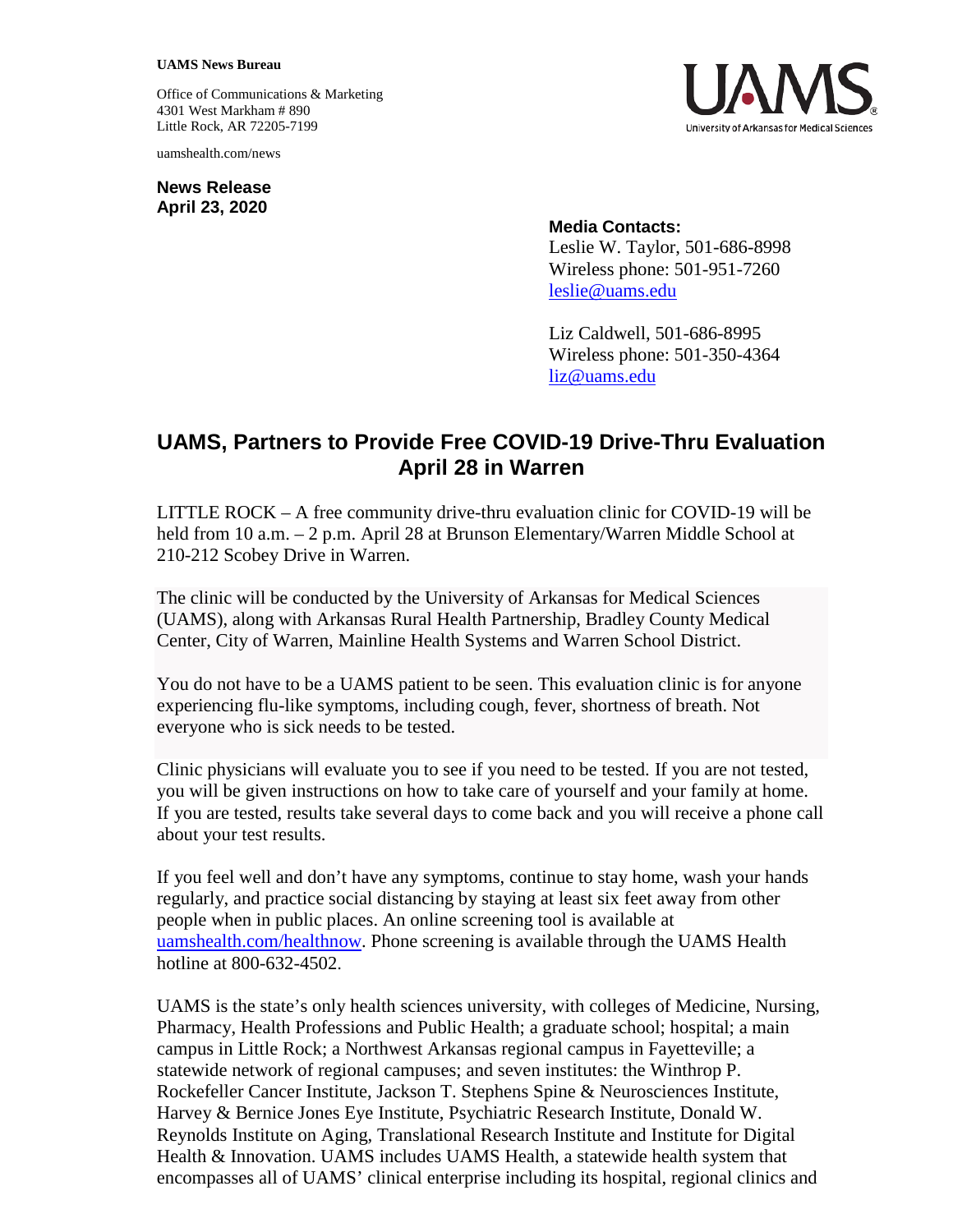## **UAMS News Bureau**

Office of Communications & Marketing 4301 West Markham # 890 Little Rock, AR 72205-7199

uamshealth.com/news

**News Release April 23, 2020**



## **Media Contacts:**

Leslie W. Taylor, 501-686-8998 Wireless phone: 501-951-7260 [leslie@uams.edu](mailto:leslie@uams.edu)

Liz Caldwell, 501-686-8995 Wireless phone: 501-350-4364 [liz@uams.edu](mailto:liz@uams.edu)

## **UAMS, Partners to Provide Free COVID-19 Drive-Thru Evaluation April 28 in Warren**

LITTLE ROCK – A free community drive-thru evaluation clinic for COVID-19 will be held from 10 a.m. – 2 p.m. April 28 at Brunson Elementary/Warren Middle School at 210-212 Scobey Drive in Warren.

The clinic will be conducted by the University of Arkansas for Medical Sciences (UAMS), along with Arkansas Rural Health Partnership, Bradley County Medical Center, City of Warren, Mainline Health Systems and Warren School District.

You do not have to be a UAMS patient to be seen. This evaluation clinic is for anyone experiencing flu-like symptoms, including cough, fever, shortness of breath. Not everyone who is sick needs to be tested.

Clinic physicians will evaluate you to see if you need to be tested. If you are not tested, you will be given instructions on how to take care of yourself and your family at home. If you are tested, results take several days to come back and you will receive a phone call about your test results.

If you feel well and don't have any symptoms, continue to stay home, wash your hands regularly, and practice social distancing by staying at least six feet away from other people when in public places. An online screening tool is available at [uamshealth.com/healthnow.](https://uamshealth.com/healthnow/) Phone screening is available through the UAMS Health hotline at 800-632-4502.

UAMS is the state's only health sciences university, with colleges of Medicine, Nursing, Pharmacy, Health Professions and Public Health; a graduate school; hospital; a main campus in Little Rock; a Northwest Arkansas regional campus in Fayetteville; a statewide network of regional campuses; and seven institutes: the Winthrop P. Rockefeller Cancer Institute, Jackson T. Stephens Spine & Neurosciences Institute, Harvey & Bernice Jones Eye Institute, Psychiatric Research Institute, Donald W. Reynolds Institute on Aging, Translational Research Institute and Institute for Digital Health & Innovation. UAMS includes UAMS Health, a statewide health system that encompasses all of UAMS' clinical enterprise including its hospital, regional clinics and